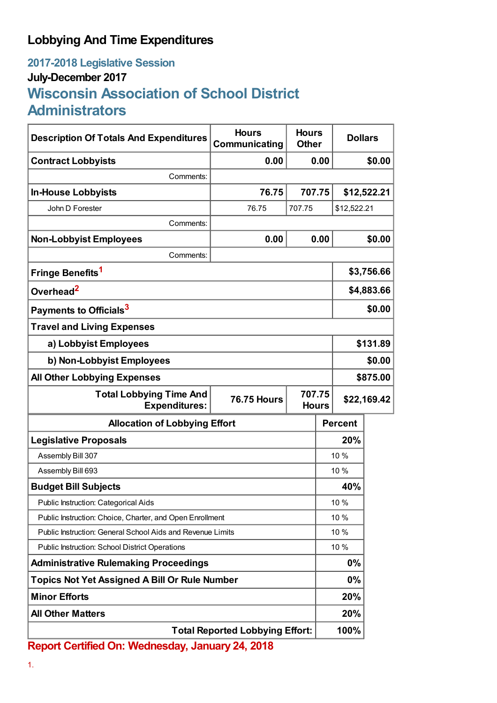## **Lobbying And Time Expenditures**

## **2017-2018 Legislative Session July-December 2017 Wisconsin Association of School District Administrators**

| <b>Description Of Totals And Expenditures</b>                                                          | <b>Hours</b><br>Communicating | <b>Hours</b><br><b>Other</b> | <b>Dollars</b> |            |  |
|--------------------------------------------------------------------------------------------------------|-------------------------------|------------------------------|----------------|------------|--|
| <b>Contract Lobbyists</b>                                                                              | 0.00                          | 0.00                         |                | \$0.00     |  |
| Comments:                                                                                              |                               |                              |                |            |  |
| <b>In-House Lobbyists</b>                                                                              | 76.75                         | 707.75                       | \$12,522.21    |            |  |
| John D Forester                                                                                        | 76.75                         | 707.75                       | \$12,522.21    |            |  |
| Comments:                                                                                              |                               |                              |                |            |  |
| <b>Non-Lobbyist Employees</b>                                                                          | 0.00                          | 0.00                         |                | \$0.00     |  |
| Comments:                                                                                              |                               |                              |                |            |  |
| Fringe Benefits <sup>1</sup>                                                                           |                               |                              |                | \$3,756.66 |  |
| Overhead <sup>2</sup>                                                                                  |                               |                              | \$4,883.66     |            |  |
| Payments to Officials <sup>3</sup>                                                                     |                               |                              | \$0.00         |            |  |
| <b>Travel and Living Expenses</b>                                                                      |                               |                              |                |            |  |
| a) Lobbyist Employees                                                                                  |                               |                              | \$131.89       |            |  |
| b) Non-Lobbyist Employees                                                                              |                               |                              | \$0.00         |            |  |
| <b>All Other Lobbying Expenses</b>                                                                     |                               |                              |                | \$875.00   |  |
| 707.75<br><b>Total Lobbying Time And</b><br><b>76.75 Hours</b><br><b>Expenditures:</b><br><b>Hours</b> |                               |                              | \$22,169.42    |            |  |
| <b>Allocation of Lobbying Effort</b>                                                                   |                               |                              | <b>Percent</b> |            |  |
| <b>Legislative Proposals</b>                                                                           |                               |                              | 20%            |            |  |
| Assembly Bill 307                                                                                      |                               |                              | 10 %           |            |  |
| Assembly Bill 693                                                                                      |                               |                              | 10 %           |            |  |
| <b>Budget Bill Subjects</b>                                                                            |                               |                              | 40%            |            |  |
| Public Instruction: Categorical Aids                                                                   |                               |                              | 10 %           |            |  |
| Public Instruction: Choice, Charter, and Open Enrollment                                               |                               |                              | 10 %           |            |  |
| Public Instruction: General School Aids and Revenue Limits                                             |                               |                              | 10 %           |            |  |
| Public Instruction: School District Operations                                                         |                               |                              | 10 %           |            |  |
| <b>Administrative Rulemaking Proceedings</b>                                                           |                               |                              | 0%             |            |  |
| <b>Topics Not Yet Assigned A Bill Or Rule Number</b>                                                   |                               |                              | 0%             |            |  |
| <b>Minor Efforts</b>                                                                                   |                               |                              | 20%            |            |  |
| <b>All Other Matters</b>                                                                               |                               |                              | 20%            |            |  |
| <b>Total Reported Lobbying Effort:</b>                                                                 |                               |                              | 100%           |            |  |

**Report Certified On: Wednesday, January 24, 2018**